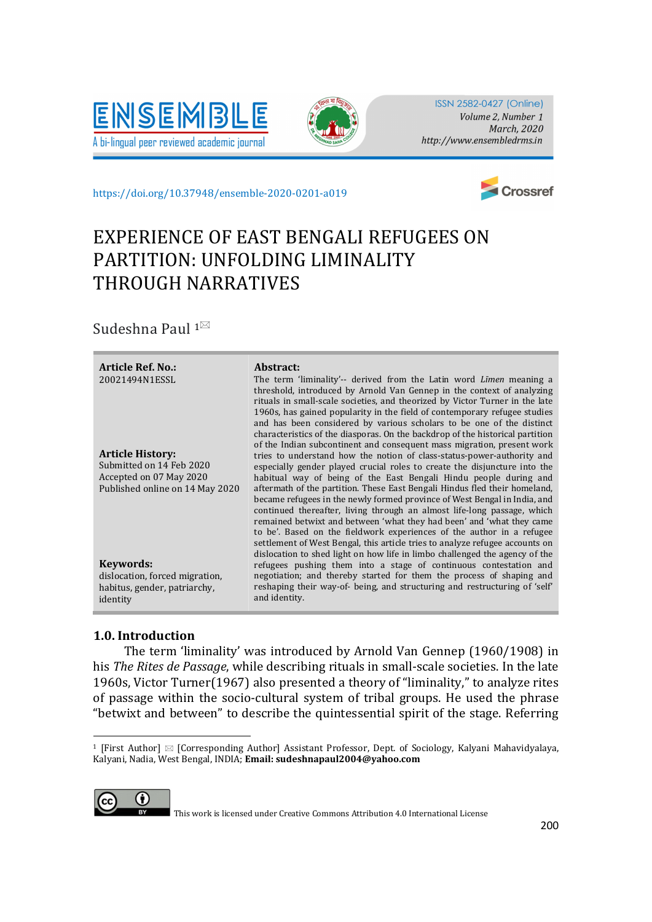



ISSN 2582-0427 (Online) Volume 2, Number 1 March, 2020 http://www.ensembledrms.in

https://doi.org/10.37948/ensemble-2020-0201-a019



# EXPERIENCE OF EAST BENGALI REFUGEES ON PARTITION: UNFOLDING LIMINALITY THROUGH NARRATIVES

Sudeshna Paul  $1^{\boxtimes}$ 

| Submitted on 14 Feb 2020<br>especially gender played crucial roles to create the disjuncture into the<br>Accepted on 07 May 2020<br>habitual way of being of the East Bengali Hindu people during and<br>aftermath of the partition. These East Bengali Hindus fled their homeland,<br>Published online on 14 May 2020<br>became refugees in the newly formed province of West Bengal in India, and<br>continued thereafter, living through an almost life-long passage, which<br>remained betwixt and between 'what they had been' and 'what they came<br>to be'. Based on the fieldwork experiences of the author in a refugee<br>settlement of West Bengal, this article tries to analyze refugee accounts on<br>dislocation to shed light on how life in limbo challenged the agency of the<br>Keywords:<br>refugees pushing them into a stage of continuous contestation and<br>negotiation; and thereby started for them the process of shaping and<br>dislocation, forced migration,<br>reshaping their way-of- being, and structuring and restructuring of 'self'<br>habitus, gender, patriarchy,<br>and identity.<br>identity | <b>Article Ref. No.:</b><br>20021494N1ESSL<br><b>Article History:</b> | Abstract:<br>The term 'liminality'-- derived from the Latin word <i>Limen</i> meaning a<br>threshold, introduced by Arnold Van Gennep in the context of analyzing<br>rituals in small-scale societies, and theorized by Victor Turner in the late<br>1960s, has gained popularity in the field of contemporary refugee studies<br>and has been considered by various scholars to be one of the distinct<br>characteristics of the diasporas. On the backdrop of the historical partition<br>of the Indian subcontinent and consequent mass migration, present work<br>tries to understand how the notion of class-status-power-authority and |
|----------------------------------------------------------------------------------------------------------------------------------------------------------------------------------------------------------------------------------------------------------------------------------------------------------------------------------------------------------------------------------------------------------------------------------------------------------------------------------------------------------------------------------------------------------------------------------------------------------------------------------------------------------------------------------------------------------------------------------------------------------------------------------------------------------------------------------------------------------------------------------------------------------------------------------------------------------------------------------------------------------------------------------------------------------------------------------------------------------------------------------------|-----------------------------------------------------------------------|----------------------------------------------------------------------------------------------------------------------------------------------------------------------------------------------------------------------------------------------------------------------------------------------------------------------------------------------------------------------------------------------------------------------------------------------------------------------------------------------------------------------------------------------------------------------------------------------------------------------------------------------|
|                                                                                                                                                                                                                                                                                                                                                                                                                                                                                                                                                                                                                                                                                                                                                                                                                                                                                                                                                                                                                                                                                                                                        |                                                                       |                                                                                                                                                                                                                                                                                                                                                                                                                                                                                                                                                                                                                                              |
|                                                                                                                                                                                                                                                                                                                                                                                                                                                                                                                                                                                                                                                                                                                                                                                                                                                                                                                                                                                                                                                                                                                                        |                                                                       |                                                                                                                                                                                                                                                                                                                                                                                                                                                                                                                                                                                                                                              |
|                                                                                                                                                                                                                                                                                                                                                                                                                                                                                                                                                                                                                                                                                                                                                                                                                                                                                                                                                                                                                                                                                                                                        |                                                                       |                                                                                                                                                                                                                                                                                                                                                                                                                                                                                                                                                                                                                                              |
|                                                                                                                                                                                                                                                                                                                                                                                                                                                                                                                                                                                                                                                                                                                                                                                                                                                                                                                                                                                                                                                                                                                                        |                                                                       |                                                                                                                                                                                                                                                                                                                                                                                                                                                                                                                                                                                                                                              |
|                                                                                                                                                                                                                                                                                                                                                                                                                                                                                                                                                                                                                                                                                                                                                                                                                                                                                                                                                                                                                                                                                                                                        |                                                                       |                                                                                                                                                                                                                                                                                                                                                                                                                                                                                                                                                                                                                                              |

## 1.0. Introduction

 The term 'liminality' was introduced by Arnold Van Gennep (1960/1908) in his The Rites de Passage, while describing rituals in small-scale societies. In the late 1960s, Victor Turner(1967) also presented a theory of "liminality," to analyze rites of passage within the socio-cultural system of tribal groups. He used the phrase "betwixt and between" to describe the quintessential spirit of the stage. Referring

<sup>&</sup>lt;sup>1</sup> [First Author]  $\boxtimes$  [Corresponding Author] Assistant Professor, Dept. of Sociology, Kalyani Mahavidyalaya, Kalyani, Nadia, West Bengal, INDIA; Email: sudeshnapaul2004@yahoo.com



This work is licensed under Creative Commons Attribution 4.0 International License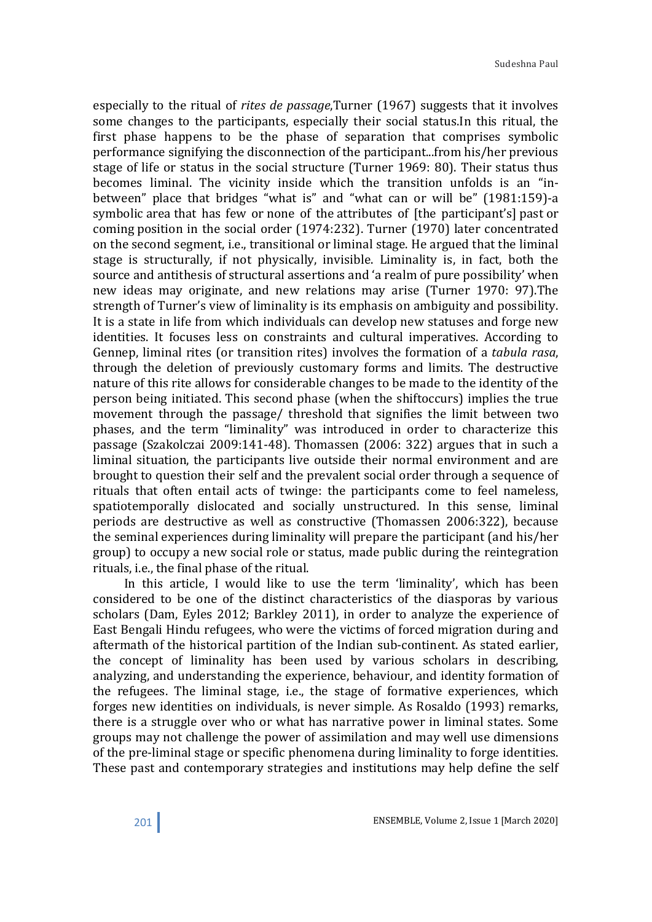especially to the ritual of *rites de passage*, Turner (1967) suggests that it involves some changes to the participants, especially their social status.In this ritual, the first phase happens to be the phase of separation that comprises symbolic performance signifying the disconnection of the participant...from his/her previous stage of life or status in the social structure (Turner 1969: 80). Their status thus becomes liminal. The vicinity inside which the transition unfolds is an "inbetween" place that bridges "what is" and "what can or will be" (1981:159)-a symbolic area that has few or none of the attributes of [the participant's] past or coming position in the social order (1974:232). Turner (1970) later concentrated on the second segment, i.e., transitional or liminal stage. He argued that the liminal stage is structurally, if not physically, invisible. Liminality is, in fact, both the source and antithesis of structural assertions and 'a realm of pure possibility' when new ideas may originate, and new relations may arise (Turner 1970: 97).The strength of Turner's view of liminality is its emphasis on ambiguity and possibility. It is a state in life from which individuals can develop new statuses and forge new identities. It focuses less on constraints and cultural imperatives. According to Gennep, liminal rites (or transition rites) involves the formation of a tabula rasa, through the deletion of previously customary forms and limits. The destructive nature of this rite allows for considerable changes to be made to the identity of the person being initiated. This second phase (when the shiftoccurs) implies the true movement through the passage/ threshold that signifies the limit between two phases, and the term "liminality" was introduced in order to characterize this passage (Szakolczai 2009:141-48). Thomassen (2006: 322) argues that in such a liminal situation, the participants live outside their normal environment and are brought to question their self and the prevalent social order through a sequence of rituals that often entail acts of twinge: the participants come to feel nameless, spatiotemporally dislocated and socially unstructured. In this sense, liminal periods are destructive as well as constructive (Thomassen 2006:322), because the seminal experiences during liminality will prepare the participant (and his/her group) to occupy a new social role or status, made public during the reintegration rituals, i.e., the final phase of the ritual.

 In this article, I would like to use the term 'liminality', which has been considered to be one of the distinct characteristics of the diasporas by various scholars (Dam, Eyles 2012; Barkley 2011), in order to analyze the experience of East Bengali Hindu refugees, who were the victims of forced migration during and aftermath of the historical partition of the Indian sub-continent. As stated earlier, the concept of liminality has been used by various scholars in describing, analyzing, and understanding the experience, behaviour, and identity formation of the refugees. The liminal stage, i.e., the stage of formative experiences, which forges new identities on individuals, is never simple. As Rosaldo (1993) remarks, there is a struggle over who or what has narrative power in liminal states. Some groups may not challenge the power of assimilation and may well use dimensions of the pre-liminal stage or specific phenomena during liminality to forge identities. These past and contemporary strategies and institutions may help define the self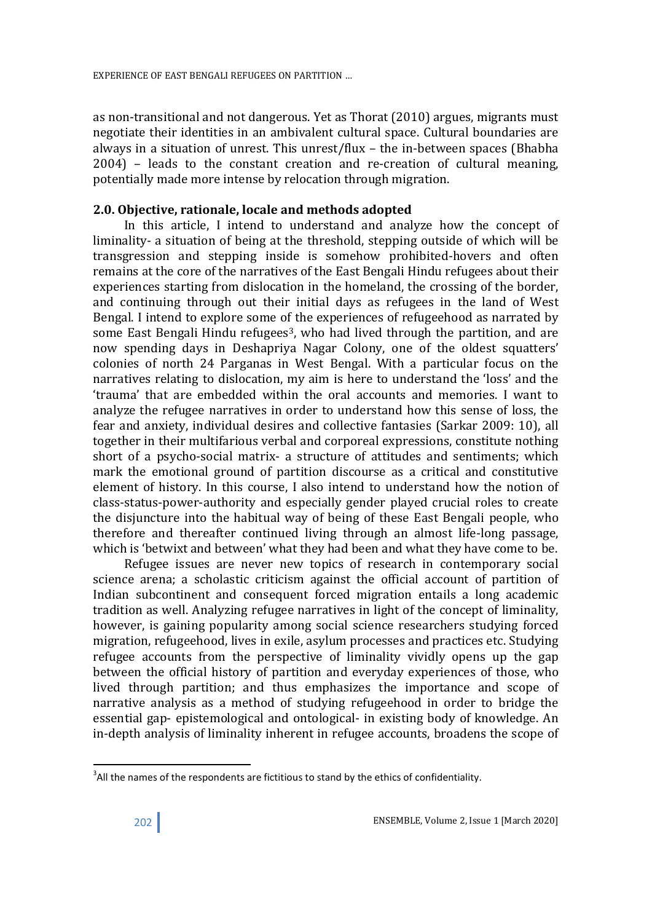as non-transitional and not dangerous. Yet as Thorat (2010) argues, migrants must negotiate their identities in an ambivalent cultural space. Cultural boundaries are always in a situation of unrest. This unrest/flux – the in-between spaces (Bhabha 2004) – leads to the constant creation and re-creation of cultural meaning, potentially made more intense by relocation through migration.

#### 2.0. Objective, rationale, locale and methods adopted

 In this article, I intend to understand and analyze how the concept of liminality- a situation of being at the threshold, stepping outside of which will be transgression and stepping inside is somehow prohibited-hovers and often remains at the core of the narratives of the East Bengali Hindu refugees about their experiences starting from dislocation in the homeland, the crossing of the border, and continuing through out their initial days as refugees in the land of West Bengal. I intend to explore some of the experiences of refugeehood as narrated by some East Bengali Hindu refugees<sup>3</sup>, who had lived through the partition, and are now spending days in Deshapriya Nagar Colony, one of the oldest squatters' colonies of north 24 Parganas in West Bengal. With a particular focus on the narratives relating to dislocation, my aim is here to understand the 'loss' and the 'trauma' that are embedded within the oral accounts and memories. I want to analyze the refugee narratives in order to understand how this sense of loss, the fear and anxiety, individual desires and collective fantasies (Sarkar 2009: 10), all together in their multifarious verbal and corporeal expressions, constitute nothing short of a psycho-social matrix- a structure of attitudes and sentiments; which mark the emotional ground of partition discourse as a critical and constitutive element of history. In this course, I also intend to understand how the notion of class-status-power-authority and especially gender played crucial roles to create the disjuncture into the habitual way of being of these East Bengali people, who therefore and thereafter continued living through an almost life-long passage, which is 'betwixt and between' what they had been and what they have come to be.

 Refugee issues are never new topics of research in contemporary social science arena; a scholastic criticism against the official account of partition of Indian subcontinent and consequent forced migration entails a long academic tradition as well. Analyzing refugee narratives in light of the concept of liminality, however, is gaining popularity among social science researchers studying forced migration, refugeehood, lives in exile, asylum processes and practices etc. Studying refugee accounts from the perspective of liminality vividly opens up the gap between the official history of partition and everyday experiences of those, who lived through partition; and thus emphasizes the importance and scope of narrative analysis as a method of studying refugeehood in order to bridge the essential gap- epistemological and ontological- in existing body of knowledge. An in-depth analysis of liminality inherent in refugee accounts, broadens the scope of

-

 $3$ All the names of the respondents are fictitious to stand by the ethics of confidentiality.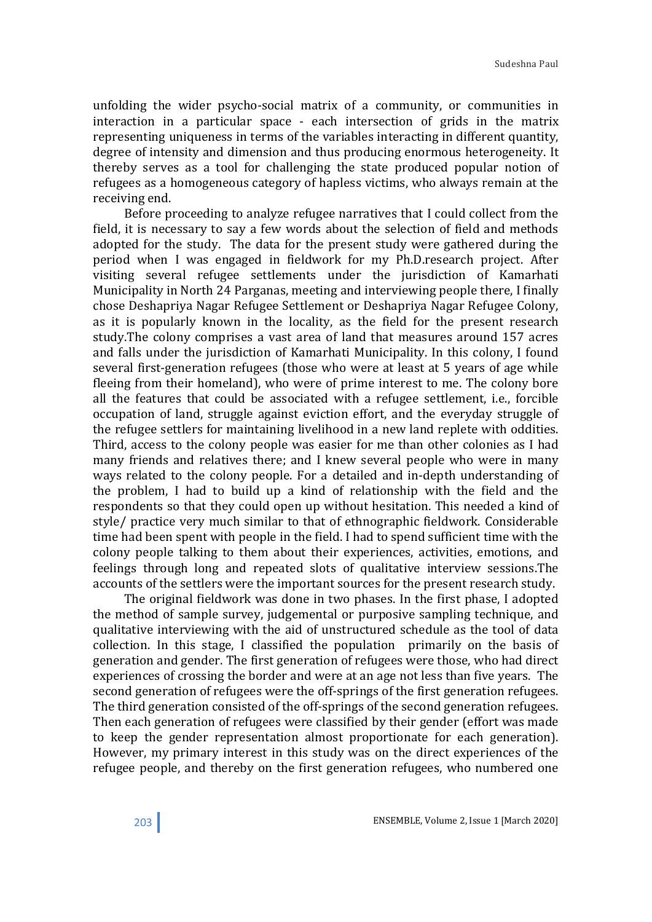unfolding the wider psycho-social matrix of a community, or communities in interaction in a particular space - each intersection of grids in the matrix representing uniqueness in terms of the variables interacting in different quantity, degree of intensity and dimension and thus producing enormous heterogeneity. It thereby serves as a tool for challenging the state produced popular notion of refugees as a homogeneous category of hapless victims, who always remain at the receiving end.

 Before proceeding to analyze refugee narratives that I could collect from the field, it is necessary to say a few words about the selection of field and methods adopted for the study. The data for the present study were gathered during the period when I was engaged in fieldwork for my Ph.D.research project. After visiting several refugee settlements under the jurisdiction of Kamarhati Municipality in North 24 Parganas, meeting and interviewing people there, I finally chose Deshapriya Nagar Refugee Settlement or Deshapriya Nagar Refugee Colony, as it is popularly known in the locality, as the field for the present research study.The colony comprises a vast area of land that measures around 157 acres and falls under the jurisdiction of Kamarhati Municipality. In this colony, I found several first-generation refugees (those who were at least at 5 years of age while fleeing from their homeland), who were of prime interest to me. The colony bore all the features that could be associated with a refugee settlement, i.e., forcible occupation of land, struggle against eviction effort, and the everyday struggle of the refugee settlers for maintaining livelihood in a new land replete with oddities. Third, access to the colony people was easier for me than other colonies as I had many friends and relatives there; and I knew several people who were in many ways related to the colony people. For a detailed and in-depth understanding of the problem, I had to build up a kind of relationship with the field and the respondents so that they could open up without hesitation. This needed a kind of style/ practice very much similar to that of ethnographic fieldwork. Considerable time had been spent with people in the field. I had to spend sufficient time with the colony people talking to them about their experiences, activities, emotions, and feelings through long and repeated slots of qualitative interview sessions.The accounts of the settlers were the important sources for the present research study.

 The original fieldwork was done in two phases. In the first phase, I adopted the method of sample survey, judgemental or purposive sampling technique, and qualitative interviewing with the aid of unstructured schedule as the tool of data collection. In this stage, I classified the population primarily on the basis of generation and gender. The first generation of refugees were those, who had direct experiences of crossing the border and were at an age not less than five years. The second generation of refugees were the off-springs of the first generation refugees. The third generation consisted of the off-springs of the second generation refugees. Then each generation of refugees were classified by their gender (effort was made to keep the gender representation almost proportionate for each generation). However, my primary interest in this study was on the direct experiences of the refugee people, and thereby on the first generation refugees, who numbered one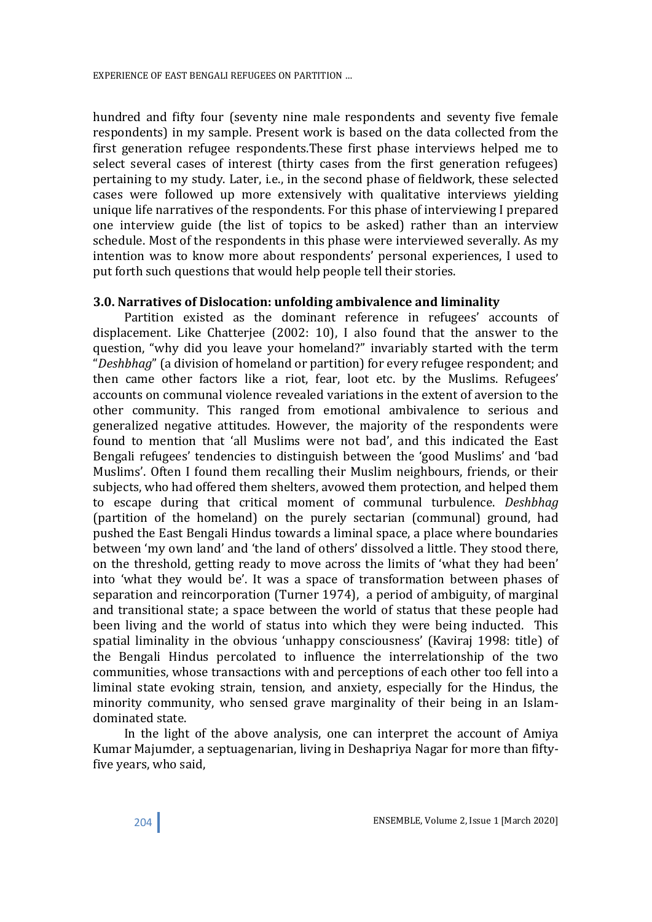hundred and fifty four (seventy nine male respondents and seventy five female respondents) in my sample. Present work is based on the data collected from the first generation refugee respondents.These first phase interviews helped me to select several cases of interest (thirty cases from the first generation refugees) pertaining to my study. Later, i.e., in the second phase of fieldwork, these selected cases were followed up more extensively with qualitative interviews yielding unique life narratives of the respondents. For this phase of interviewing I prepared one interview guide (the list of topics to be asked) rather than an interview schedule. Most of the respondents in this phase were interviewed severally. As my intention was to know more about respondents' personal experiences, I used to put forth such questions that would help people tell their stories.

### 3.0. Narratives of Dislocation: unfolding ambivalence and liminality

 Partition existed as the dominant reference in refugees' accounts of displacement. Like Chatterjee (2002: 10), I also found that the answer to the question, "why did you leave your homeland?" invariably started with the term "Deshbhag" (a division of homeland or partition) for every refugee respondent; and then came other factors like a riot, fear, loot etc. by the Muslims. Refugees' accounts on communal violence revealed variations in the extent of aversion to the other community. This ranged from emotional ambivalence to serious and generalized negative attitudes. However, the majority of the respondents were found to mention that 'all Muslims were not bad', and this indicated the East Bengali refugees' tendencies to distinguish between the 'good Muslims' and 'bad Muslims'. Often I found them recalling their Muslim neighbours, friends, or their subjects, who had offered them shelters, avowed them protection, and helped them to escape during that critical moment of communal turbulence. Deshbhag (partition of the homeland) on the purely sectarian (communal) ground, had pushed the East Bengali Hindus towards a liminal space, a place where boundaries between 'my own land' and 'the land of others' dissolved a little. They stood there, on the threshold, getting ready to move across the limits of 'what they had been' into 'what they would be'. It was a space of transformation between phases of separation and reincorporation (Turner 1974), a period of ambiguity, of marginal and transitional state; a space between the world of status that these people had been living and the world of status into which they were being inducted. This spatial liminality in the obvious 'unhappy consciousness' (Kaviraj 1998: title) of the Bengali Hindus percolated to influence the interrelationship of the two communities, whose transactions with and perceptions of each other too fell into a liminal state evoking strain, tension, and anxiety, especially for the Hindus, the minority community, who sensed grave marginality of their being in an Islamdominated state.

 In the light of the above analysis, one can interpret the account of Amiya Kumar Majumder, a septuagenarian, living in Deshapriya Nagar for more than fiftyfive years, who said,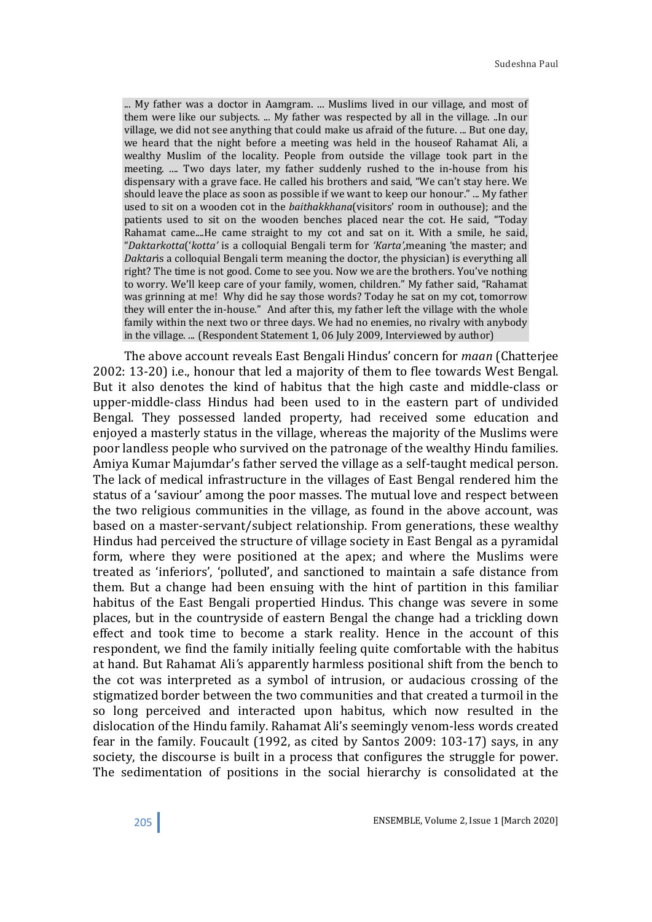... My father was a doctor in Aamgram. ... Muslims lived in our village, and most of them were like our subjects. ... My father was respected by all in the village. ..In our village, we did not see anything that could make us afraid of the future. ... But one day, we heard that the night before a meeting was held in the houseof Rahamat Ali, a wealthy Muslim of the locality. People from outside the village took part in the meeting. .... Two days later, my father suddenly rushed to the in-house from his dispensary with a grave face. He called his brothers and said, "We can't stay here. We should leave the place as soon as possible if we want to keep our honour." ... My father used to sit on a wooden cot in the baithakkhana(visitors' room in outhouse); and the patients used to sit on the wooden benches placed near the cot. He said, "Today Rahamat came....He came straight to my cot and sat on it. With a smile, he said, "Daktarkotta('kotta' is a colloquial Bengali term for 'Karta',meaning 'the master; and Daktaris a colloquial Bengali term meaning the doctor, the physician) is everything all right? The time is not good. Come to see you. Now we are the brothers. You've nothing to worry. We'll keep care of your family, women, children." My father said, "Rahamat was grinning at me! Why did he say those words? Today he sat on my cot, tomorrow they will enter the in-house." And after this, my father left the village with the whole family within the next two or three days. We had no enemies, no rivalry with anybody in the village. ... (Respondent Statement 1, 06 July 2009, Interviewed by author)

 The above account reveals East Bengali Hindus' concern for maan (Chatterjee 2002: 13-20) i.e., honour that led a majority of them to flee towards West Bengal. But it also denotes the kind of habitus that the high caste and middle-class or upper-middle-class Hindus had been used to in the eastern part of undivided Bengal. They possessed landed property, had received some education and enjoyed a masterly status in the village, whereas the majority of the Muslims were poor landless people who survived on the patronage of the wealthy Hindu families. Amiya Kumar Majumdar's father served the village as a self-taught medical person. The lack of medical infrastructure in the villages of East Bengal rendered him the status of a 'saviour' among the poor masses. The mutual love and respect between the two religious communities in the village, as found in the above account, was based on a master-servant/subject relationship. From generations, these wealthy Hindus had perceived the structure of village society in East Bengal as a pyramidal form, where they were positioned at the apex; and where the Muslims were treated as 'inferiors', 'polluted', and sanctioned to maintain a safe distance from them. But a change had been ensuing with the hint of partition in this familiar habitus of the East Bengali propertied Hindus. This change was severe in some places, but in the countryside of eastern Bengal the change had a trickling down effect and took time to become a stark reality. Hence in the account of this respondent, we find the family initially feeling quite comfortable with the habitus at hand. But Rahamat Ali's apparently harmless positional shift from the bench to the cot was interpreted as a symbol of intrusion, or audacious crossing of the stigmatized border between the two communities and that created a turmoil in the so long perceived and interacted upon habitus, which now resulted in the dislocation of the Hindu family. Rahamat Ali's seemingly venom-less words created fear in the family. Foucault (1992, as cited by Santos 2009: 103-17) says, in any society, the discourse is built in a process that configures the struggle for power. The sedimentation of positions in the social hierarchy is consolidated at the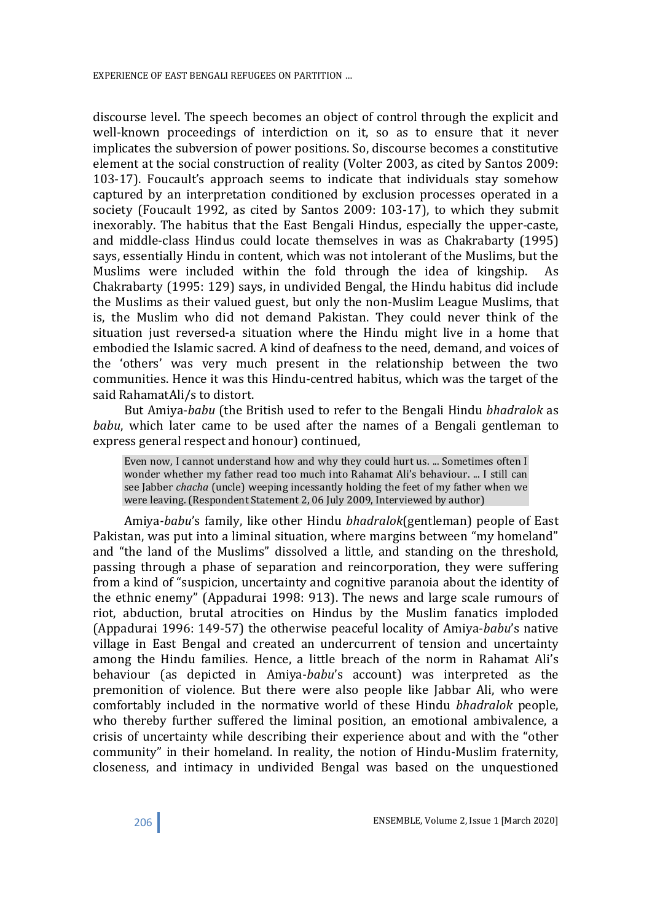discourse level. The speech becomes an object of control through the explicit and well-known proceedings of interdiction on it, so as to ensure that it never implicates the subversion of power positions. So, discourse becomes a constitutive element at the social construction of reality (Volter 2003, as cited by Santos 2009: 103-17). Foucault's approach seems to indicate that individuals stay somehow captured by an interpretation conditioned by exclusion processes operated in a society (Foucault 1992, as cited by Santos 2009: 103-17), to which they submit inexorably. The habitus that the East Bengali Hindus, especially the upper-caste, and middle-class Hindus could locate themselves in was as Chakrabarty (1995) says, essentially Hindu in content, which was not intolerant of the Muslims, but the Muslims were included within the fold through the idea of kingship. As Chakrabarty (1995: 129) says, in undivided Bengal, the Hindu habitus did include the Muslims as their valued guest, but only the non-Muslim League Muslims, that is, the Muslim who did not demand Pakistan. They could never think of the situation just reversed-a situation where the Hindu might live in a home that embodied the Islamic sacred. A kind of deafness to the need, demand, and voices of the 'others' was very much present in the relationship between the two communities. Hence it was this Hindu-centred habitus, which was the target of the said RahamatAli/s to distort.

 But Amiya-babu (the British used to refer to the Bengali Hindu bhadralok as babu, which later came to be used after the names of a Bengali gentleman to express general respect and honour) continued,

Even now, I cannot understand how and why they could hurt us. ... Sometimes often I wonder whether my father read too much into Rahamat Ali's behaviour. ... I still can see Jabber chacha (uncle) weeping incessantly holding the feet of my father when we were leaving. (Respondent Statement 2, 06 July 2009, Interviewed by author)

 Amiya-babu's family, like other Hindu bhadralok(gentleman) people of East Pakistan, was put into a liminal situation, where margins between "my homeland" and "the land of the Muslims" dissolved a little, and standing on the threshold, passing through a phase of separation and reincorporation, they were suffering from a kind of "suspicion, uncertainty and cognitive paranoia about the identity of the ethnic enemy" (Appadurai 1998: 913). The news and large scale rumours of riot, abduction, brutal atrocities on Hindus by the Muslim fanatics imploded (Appadurai 1996: 149-57) the otherwise peaceful locality of Amiya-babu's native village in East Bengal and created an undercurrent of tension and uncertainty among the Hindu families. Hence, a little breach of the norm in Rahamat Ali's behaviour (as depicted in Amiya-babu's account) was interpreted as the premonition of violence. But there were also people like Jabbar Ali, who were comfortably included in the normative world of these Hindu bhadralok people, who thereby further suffered the liminal position, an emotional ambivalence, a crisis of uncertainty while describing their experience about and with the "other community" in their homeland. In reality, the notion of Hindu-Muslim fraternity, closeness, and intimacy in undivided Bengal was based on the unquestioned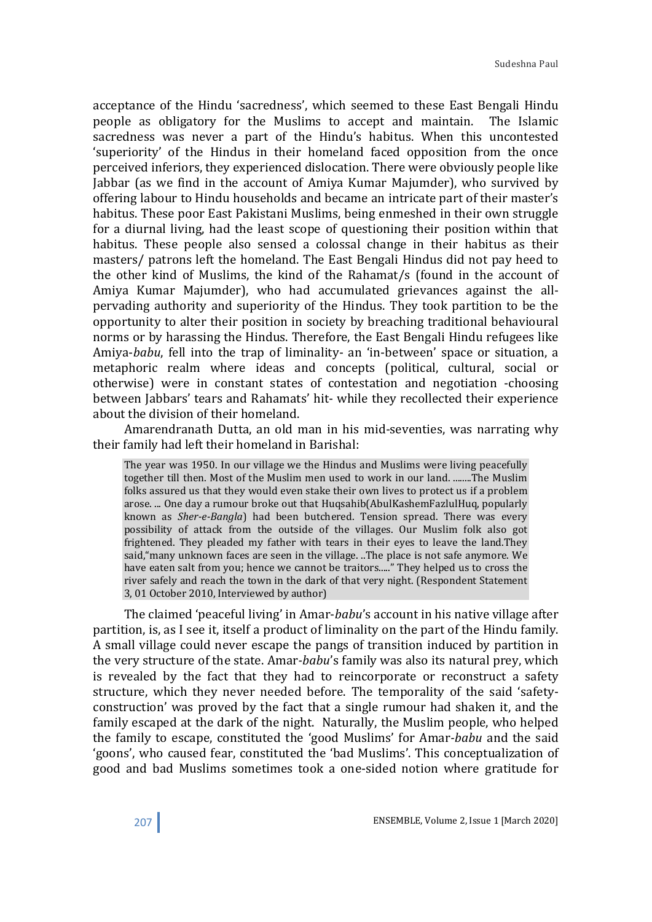acceptance of the Hindu 'sacredness', which seemed to these East Bengali Hindu people as obligatory for the Muslims to accept and maintain. The Islamic sacredness was never a part of the Hindu's habitus. When this uncontested 'superiority' of the Hindus in their homeland faced opposition from the once perceived inferiors, they experienced dislocation. There were obviously people like Jabbar (as we find in the account of Amiya Kumar Majumder), who survived by offering labour to Hindu households and became an intricate part of their master's habitus. These poor East Pakistani Muslims, being enmeshed in their own struggle for a diurnal living, had the least scope of questioning their position within that habitus. These people also sensed a colossal change in their habitus as their masters/ patrons left the homeland. The East Bengali Hindus did not pay heed to the other kind of Muslims, the kind of the Rahamat/s (found in the account of Amiya Kumar Majumder), who had accumulated grievances against the allpervading authority and superiority of the Hindus. They took partition to be the opportunity to alter their position in society by breaching traditional behavioural norms or by harassing the Hindus. Therefore, the East Bengali Hindu refugees like Amiya-babu, fell into the trap of liminality- an 'in-between' space or situation, a metaphoric realm where ideas and concepts (political, cultural, social or otherwise) were in constant states of contestation and negotiation -choosing between Jabbars' tears and Rahamats' hit- while they recollected their experience about the division of their homeland.

 Amarendranath Dutta, an old man in his mid-seventies, was narrating why their family had left their homeland in Barishal:

The year was 1950. In our village we the Hindus and Muslims were living peacefully together till then. Most of the Muslim men used to work in our land. ........The Muslim folks assured us that they would even stake their own lives to protect us if a problem arose. ... One day a rumour broke out that Huqsahib(AbulKashemFazlulHuq, popularly known as Sher-e-Bangla) had been butchered. Tension spread. There was every possibility of attack from the outside of the villages. Our Muslim folk also got frightened. They pleaded my father with tears in their eyes to leave the land.They said,"many unknown faces are seen in the village. ..The place is not safe anymore. We have eaten salt from you; hence we cannot be traitors....." They helped us to cross the river safely and reach the town in the dark of that very night. (Respondent Statement 3, 01 October 2010, Interviewed by author)

 The claimed 'peaceful living' in Amar-babu's account in his native village after partition, is, as I see it, itself a product of liminality on the part of the Hindu family. A small village could never escape the pangs of transition induced by partition in the very structure of the state. Amar-babu's family was also its natural prey, which is revealed by the fact that they had to reincorporate or reconstruct a safety structure, which they never needed before. The temporality of the said 'safetyconstruction' was proved by the fact that a single rumour had shaken it, and the family escaped at the dark of the night. Naturally, the Muslim people, who helped the family to escape, constituted the 'good Muslims' for Amar-babu and the said 'goons', who caused fear, constituted the 'bad Muslims'. This conceptualization of good and bad Muslims sometimes took a one-sided notion where gratitude for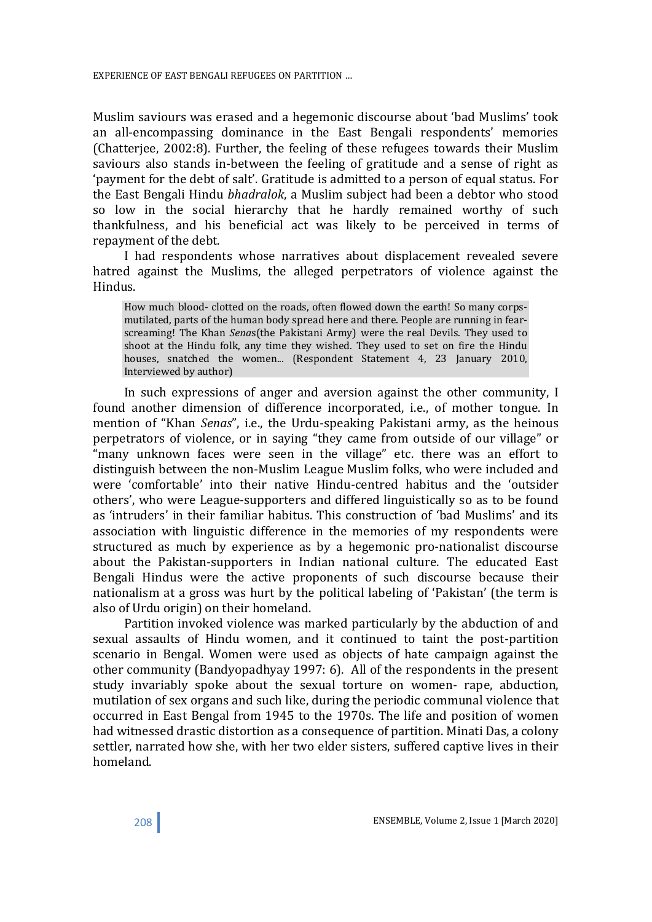Muslim saviours was erased and a hegemonic discourse about 'bad Muslims' took an all-encompassing dominance in the East Bengali respondents' memories (Chatterjee, 2002:8). Further, the feeling of these refugees towards their Muslim saviours also stands in-between the feeling of gratitude and a sense of right as 'payment for the debt of salt'. Gratitude is admitted to a person of equal status. For the East Bengali Hindu bhadralok, a Muslim subject had been a debtor who stood so low in the social hierarchy that he hardly remained worthy of such thankfulness, and his beneficial act was likely to be perceived in terms of repayment of the debt.

 I had respondents whose narratives about displacement revealed severe hatred against the Muslims, the alleged perpetrators of violence against the Hindus.

How much blood- clotted on the roads, often flowed down the earth! So many corpsmutilated, parts of the human body spread here and there. People are running in fearscreaming! The Khan Senas(the Pakistani Army) were the real Devils. They used to shoot at the Hindu folk, any time they wished. They used to set on fire the Hindu houses, snatched the women... (Respondent Statement 4, 23 January 2010, Interviewed by author)

 In such expressions of anger and aversion against the other community, I found another dimension of difference incorporated, i.e., of mother tongue. In mention of "Khan Senas", i.e., the Urdu-speaking Pakistani army, as the heinous perpetrators of violence, or in saying "they came from outside of our village" or "many unknown faces were seen in the village" etc. there was an effort to distinguish between the non-Muslim League Muslim folks, who were included and were 'comfortable' into their native Hindu-centred habitus and the 'outsider others', who were League-supporters and differed linguistically so as to be found as 'intruders' in their familiar habitus. This construction of 'bad Muslims' and its association with linguistic difference in the memories of my respondents were structured as much by experience as by a hegemonic pro-nationalist discourse about the Pakistan-supporters in Indian national culture. The educated East Bengali Hindus were the active proponents of such discourse because their nationalism at a gross was hurt by the political labeling of 'Pakistan' (the term is also of Urdu origin) on their homeland.

 Partition invoked violence was marked particularly by the abduction of and sexual assaults of Hindu women, and it continued to taint the post-partition scenario in Bengal. Women were used as objects of hate campaign against the other community (Bandyopadhyay 1997: 6). All of the respondents in the present study invariably spoke about the sexual torture on women- rape, abduction, mutilation of sex organs and such like, during the periodic communal violence that occurred in East Bengal from 1945 to the 1970s. The life and position of women had witnessed drastic distortion as a consequence of partition. Minati Das, a colony settler, narrated how she, with her two elder sisters, suffered captive lives in their homeland.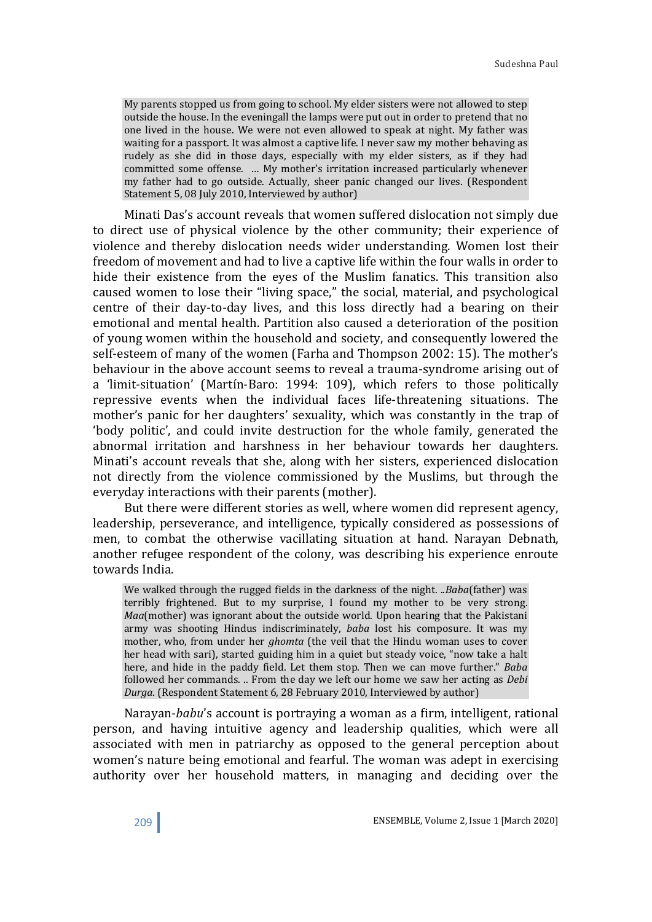My parents stopped us from going to school. My elder sisters were not allowed to step outside the house. In the eveningall the lamps were put out in order to pretend that no one lived in the house. We were not even allowed to speak at night. My father was waiting for a passport. It was almost a captive life. I never saw my mother behaving as rudely as she did in those days, especially with my elder sisters, as if they had committed some offense. … My mother's irritation increased particularly whenever my father had to go outside. Actually, sheer panic changed our lives. (Respondent Statement 5, 08 July 2010, Interviewed by author)

 Minati Das's account reveals that women suffered dislocation not simply due to direct use of physical violence by the other community; their experience of violence and thereby dislocation needs wider understanding. Women lost their freedom of movement and had to live a captive life within the four walls in order to hide their existence from the eyes of the Muslim fanatics. This transition also caused women to lose their "living space," the social, material, and psychological centre of their day-to-day lives, and this loss directly had a bearing on their emotional and mental health. Partition also caused a deterioration of the position of young women within the household and society, and consequently lowered the self-esteem of many of the women (Farha and Thompson 2002: 15). The mother's behaviour in the above account seems to reveal a trauma-syndrome arising out of a 'limit-situation' (Martín-Baro: 1994: 109), which refers to those politically repressive events when the individual faces life-threatening situations. The mother's panic for her daughters' sexuality, which was constantly in the trap of 'body politic', and could invite destruction for the whole family, generated the abnormal irritation and harshness in her behaviour towards her daughters. Minati's account reveals that she, along with her sisters, experienced dislocation not directly from the violence commissioned by the Muslims, but through the everyday interactions with their parents (mother).

 But there were different stories as well, where women did represent agency, leadership, perseverance, and intelligence, typically considered as possessions of men, to combat the otherwise vacillating situation at hand. Narayan Debnath, another refugee respondent of the colony, was describing his experience enroute towards India.

We walked through the rugged fields in the darkness of the night. ..Baba(father) was terribly frightened. But to my surprise, I found my mother to be very strong. Maa(mother) was ignorant about the outside world. Upon hearing that the Pakistani army was shooting Hindus indiscriminately, baba lost his composure. It was my mother, who, from under her ghomta (the veil that the Hindu woman uses to cover her head with sari), started guiding him in a quiet but steady voice, "now take a halt here, and hide in the paddy field. Let them stop. Then we can move further." Baba followed her commands. .. From the day we left our home we saw her acting as Debi Durga. (Respondent Statement 6, 28 February 2010, Interviewed by author)

 Narayan-babu's account is portraying a woman as a firm, intelligent, rational person, and having intuitive agency and leadership qualities, which were all associated with men in patriarchy as opposed to the general perception about women's nature being emotional and fearful. The woman was adept in exercising authority over her household matters, in managing and deciding over the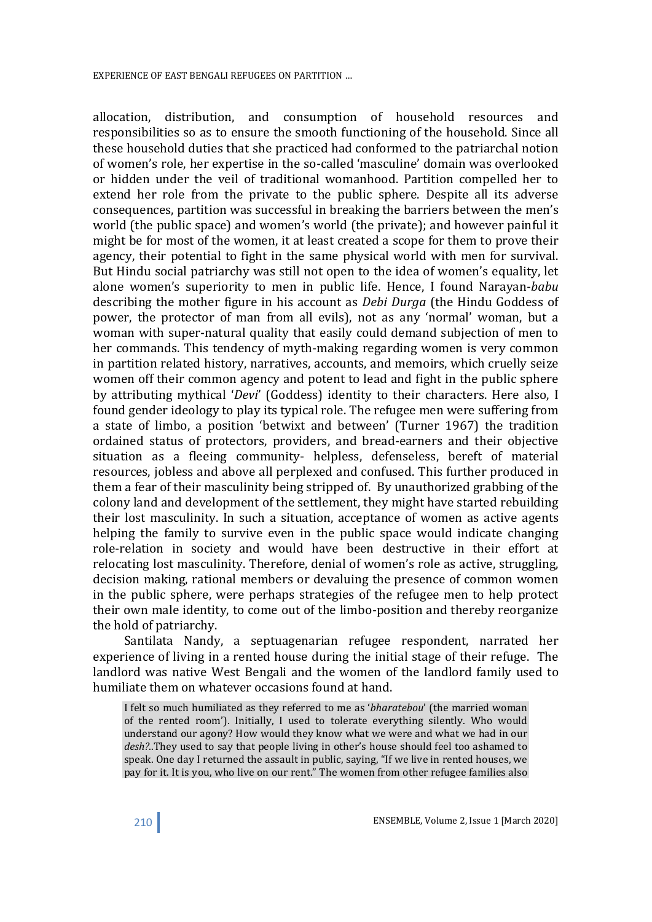allocation, distribution, and consumption of household resources and responsibilities so as to ensure the smooth functioning of the household. Since all these household duties that she practiced had conformed to the patriarchal notion of women's role, her expertise in the so-called 'masculine' domain was overlooked or hidden under the veil of traditional womanhood. Partition compelled her to extend her role from the private to the public sphere. Despite all its adverse consequences, partition was successful in breaking the barriers between the men's world (the public space) and women's world (the private); and however painful it might be for most of the women, it at least created a scope for them to prove their agency, their potential to fight in the same physical world with men for survival. But Hindu social patriarchy was still not open to the idea of women's equality, let alone women's superiority to men in public life. Hence, I found Narayan-babu describing the mother figure in his account as *Debi Durga* (the Hindu Goddess of power, the protector of man from all evils), not as any 'normal' woman, but a woman with super-natural quality that easily could demand subjection of men to her commands. This tendency of myth-making regarding women is very common in partition related history, narratives, accounts, and memoirs, which cruelly seize women off their common agency and potent to lead and fight in the public sphere by attributing mythical 'Devi' (Goddess) identity to their characters. Here also, I found gender ideology to play its typical role. The refugee men were suffering from a state of limbo, a position 'betwixt and between' (Turner 1967) the tradition ordained status of protectors, providers, and bread-earners and their objective situation as a fleeing community- helpless, defenseless, bereft of material resources, jobless and above all perplexed and confused. This further produced in them a fear of their masculinity being stripped of. By unauthorized grabbing of the colony land and development of the settlement, they might have started rebuilding their lost masculinity. In such a situation, acceptance of women as active agents helping the family to survive even in the public space would indicate changing role-relation in society and would have been destructive in their effort at relocating lost masculinity. Therefore, denial of women's role as active, struggling, decision making, rational members or devaluing the presence of common women in the public sphere, were perhaps strategies of the refugee men to help protect their own male identity, to come out of the limbo-position and thereby reorganize the hold of patriarchy.

 Santilata Nandy, a septuagenarian refugee respondent, narrated her experience of living in a rented house during the initial stage of their refuge. The landlord was native West Bengali and the women of the landlord family used to humiliate them on whatever occasions found at hand.

I felt so much humiliated as they referred to me as 'bharatebou' (the married woman of the rented room'). Initially, I used to tolerate everything silently. Who would understand our agony? How would they know what we were and what we had in our desh?..They used to say that people living in other's house should feel too ashamed to speak. One day I returned the assault in public, saying, "If we live in rented houses, we pay for it. It is you, who live on our rent." The women from other refugee families also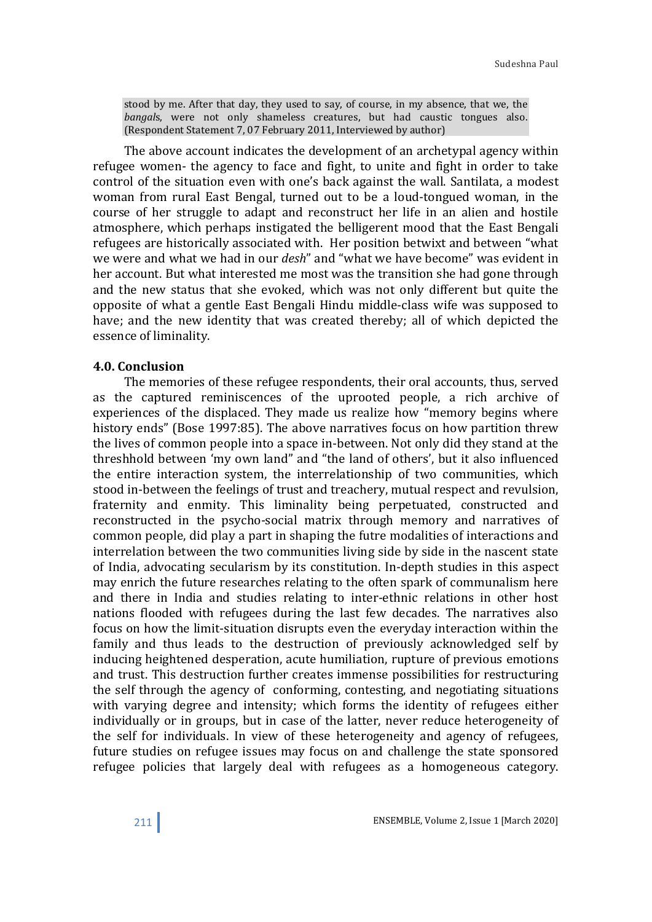stood by me. After that day, they used to say, of course, in my absence, that we, the bangals, were not only shameless creatures, but had caustic tongues also. (Respondent Statement 7, 07 February 2011, Interviewed by author)

 The above account indicates the development of an archetypal agency within refugee women- the agency to face and fight, to unite and fight in order to take control of the situation even with one's back against the wall. Santilata, a modest woman from rural East Bengal, turned out to be a loud-tongued woman, in the course of her struggle to adapt and reconstruct her life in an alien and hostile atmosphere, which perhaps instigated the belligerent mood that the East Bengali refugees are historically associated with. Her position betwixt and between "what we were and what we had in our desh" and "what we have become" was evident in her account. But what interested me most was the transition she had gone through and the new status that she evoked, which was not only different but quite the opposite of what a gentle East Bengali Hindu middle-class wife was supposed to have; and the new identity that was created thereby; all of which depicted the essence of liminality.

### 4.0. Conclusion

 The memories of these refugee respondents, their oral accounts, thus, served as the captured reminiscences of the uprooted people, a rich archive of experiences of the displaced. They made us realize how "memory begins where history ends" (Bose 1997:85). The above narratives focus on how partition threw the lives of common people into a space in-between. Not only did they stand at the threshhold between 'my own land" and "the land of others', but it also influenced the entire interaction system, the interrelationship of two communities, which stood in-between the feelings of trust and treachery, mutual respect and revulsion, fraternity and enmity. This liminality being perpetuated, constructed and reconstructed in the psycho-social matrix through memory and narratives of common people, did play a part in shaping the futre modalities of interactions and interrelation between the two communities living side by side in the nascent state of India, advocating secularism by its constitution. In-depth studies in this aspect may enrich the future researches relating to the often spark of communalism here and there in India and studies relating to inter-ethnic relations in other host nations flooded with refugees during the last few decades. The narratives also focus on how the limit-situation disrupts even the everyday interaction within the family and thus leads to the destruction of previously acknowledged self by inducing heightened desperation, acute humiliation, rupture of previous emotions and trust. This destruction further creates immense possibilities for restructuring the self through the agency of conforming, contesting, and negotiating situations with varying degree and intensity; which forms the identity of refugees either individually or in groups, but in case of the latter, never reduce heterogeneity of the self for individuals. In view of these heterogeneity and agency of refugees, future studies on refugee issues may focus on and challenge the state sponsored refugee policies that largely deal with refugees as a homogeneous category.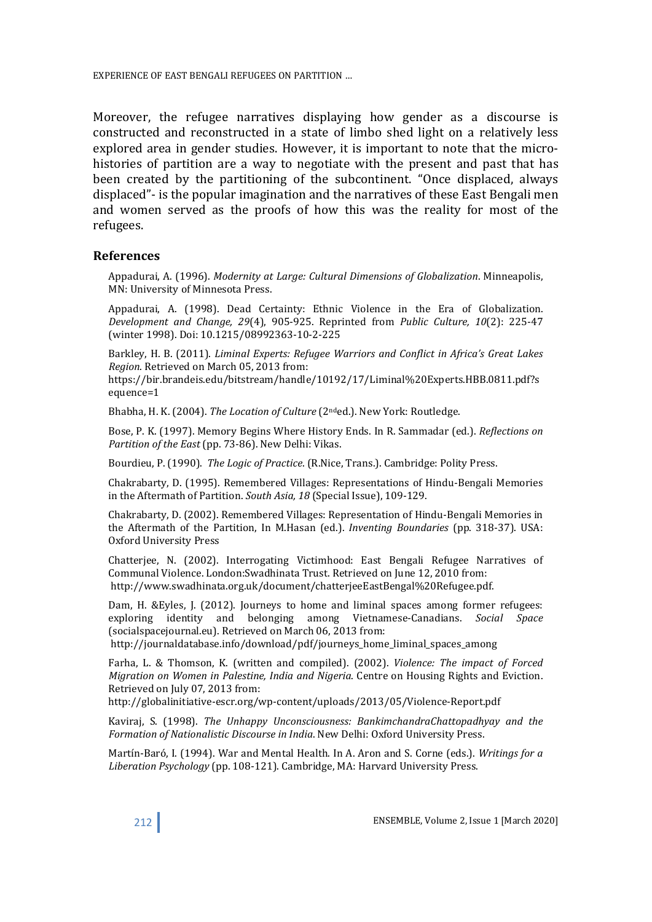Moreover, the refugee narratives displaying how gender as a discourse is constructed and reconstructed in a state of limbo shed light on a relatively less explored area in gender studies. However, it is important to note that the microhistories of partition are a way to negotiate with the present and past that has been created by the partitioning of the subcontinent. "Once displaced, always displaced"- is the popular imagination and the narratives of these East Bengali men and women served as the proofs of how this was the reality for most of the refugees.

#### References

Appadurai, A. (1996). Modernity at Large: Cultural Dimensions of Globalization. Minneapolis, MN: University of Minnesota Press.

Appadurai, A. (1998). Dead Certainty: Ethnic Violence in the Era of Globalization. Development and Change, 29(4), 905-925. Reprinted from Public Culture, 10(2): 225-47 (winter 1998). Doi: 10.1215/08992363-10-2-225

Barkley, H. B. (2011). Liminal Experts: Refugee Warriors and Conflict in Africa's Great Lakes Region. Retrieved on March 05, 2013 from:

https://bir.brandeis.edu/bitstream/handle/10192/17/Liminal%20Experts.HBB.0811.pdf?s equence=1

Bhabha, H. K. (2004). The Location of Culture (2<sup>nd</sup>ed.). New York: Routledge.

Bose, P. K. (1997). Memory Begins Where History Ends. In R. Sammadar (ed.). Reflections on Partition of the East (pp. 73-86). New Delhi: Vikas.

Bourdieu, P. (1990). The Logic of Practice. (R.Nice, Trans.). Cambridge: Polity Press.

Chakrabarty, D. (1995). Remembered Villages: Representations of Hindu-Bengali Memories in the Aftermath of Partition. South Asia, 18 (Special Issue), 109-129.

Chakrabarty, D. (2002). Remembered Villages: Representation of Hindu-Bengali Memories in the Aftermath of the Partition, In M.Hasan (ed.). Inventing Boundaries (pp. 318-37). USA: Oxford University Press

Chatterjee, N. (2002). Interrogating Victimhood: East Bengali Refugee Narratives of Communal Violence. London:Swadhinata Trust. Retrieved on June 12, 2010 from: http://www.swadhinata.org.uk/document/chatterjeeEastBengal%20Refugee.pdf.

Dam, H. &Eyles, J. (2012). Journeys to home and liminal spaces among former refugees: exploring identity and belonging among Vietnamese-Canadians. Social Space (socialspacejournal.eu). Retrieved on March 06, 2013 from:

http://journaldatabase.info/download/pdf/journeys\_home\_liminal\_spaces\_among

Farha, L. & Thomson, K. (written and compiled). (2002). Violence: The impact of Forced Migration on Women in Palestine, India and Nigeria. Centre on Housing Rights and Eviction. Retrieved on July 07, 2013 from:

http://globalinitiative-escr.org/wp-content/uploads/2013/05/Violence-Report.pdf

Kaviraj, S. (1998). The Unhappy Unconsciousness: BankimchandraChattopadhyay and the Formation of Nationalistic Discourse in India. New Delhi: Oxford University Press.

Martín-Baró, I. (1994). War and Mental Health. In A. Aron and S. Corne (eds.). Writings for a Liberation Psychology (pp. 108-121). Cambridge, MA: Harvard University Press.